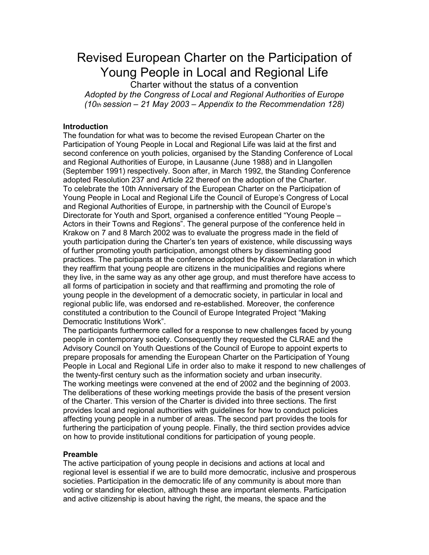Revised European Charter on the Participation of Young People in Local and Regional Life

Charter without the status of a convention Adopted by the Congress of Local and Regional Authorities of Europe  $(10<sub>th</sub>$  session – 21 May 2003 – Appendix to the Recommendation 128)

# Introduction

The foundation for what was to become the revised European Charter on the Participation of Young People in Local and Regional Life was laid at the first and second conference on youth policies, organised by the Standing Conference of Local and Regional Authorities of Europe, in Lausanne (June 1988) and in Llangollen (September 1991) respectively. Soon after, in March 1992, the Standing Conference adopted Resolution 237 and Article 22 thereof on the adoption of the Charter. To celebrate the 10th Anniversary of the European Charter on the Participation of Young People in Local and Regional Life the Council of Europe's Congress of Local and Regional Authorities of Europe, in partnership with the Council of Europe's Directorate for Youth and Sport, organised a conference entitled "Young People – Actors in their Towns and Regions". The general purpose of the conference held in Krakow on 7 and 8 March 2002 was to evaluate the progress made in the field of youth participation during the Charter's ten years of existence, while discussing ways of further promoting youth participation, amongst others by disseminating good practices. The participants at the conference adopted the Krakow Declaration in which they reaffirm that young people are citizens in the municipalities and regions where they live, in the same way as any other age group, and must therefore have access to all forms of participation in society and that reaffirming and promoting the role of young people in the development of a democratic society, in particular in local and regional public life, was endorsed and re-established. Moreover, the conference constituted a contribution to the Council of Europe Integrated Project "Making Democratic Institutions Work".

The participants furthermore called for a response to new challenges faced by young people in contemporary society. Consequently they requested the CLRAE and the Advisory Council on Youth Questions of the Council of Europe to appoint experts to prepare proposals for amending the European Charter on the Participation of Young People in Local and Regional Life in order also to make it respond to new challenges of the twenty-first century such as the information society and urban insecurity. The working meetings were convened at the end of 2002 and the beginning of 2003. The deliberations of these working meetings provide the basis of the present version of the Charter. This version of the Charter is divided into three sections. The first provides local and regional authorities with guidelines for how to conduct policies affecting young people in a number of areas. The second part provides the tools for furthering the participation of young people. Finally, the third section provides advice on how to provide institutional conditions for participation of young people.

#### Preamble

The active participation of young people in decisions and actions at local and regional level is essential if we are to build more democratic, inclusive and prosperous societies. Participation in the democratic life of any community is about more than voting or standing for election, although these are important elements. Participation and active citizenship is about having the right, the means, the space and the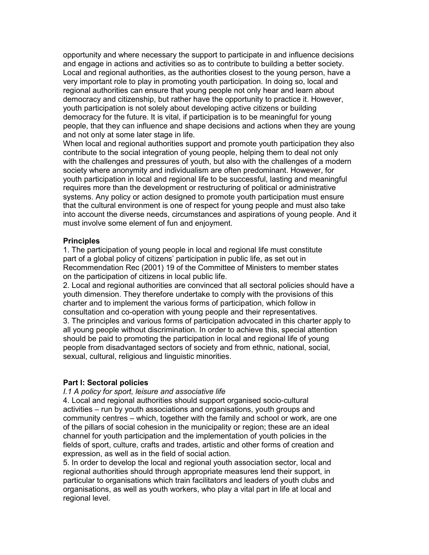opportunity and where necessary the support to participate in and influence decisions and engage in actions and activities so as to contribute to building a better society. Local and regional authorities, as the authorities closest to the young person, have a very important role to play in promoting youth participation. In doing so, local and regional authorities can ensure that young people not only hear and learn about democracy and citizenship, but rather have the opportunity to practice it. However, youth participation is not solely about developing active citizens or building democracy for the future. It is vital, if participation is to be meaningful for young people, that they can influence and shape decisions and actions when they are young and not only at some later stage in life.

When local and regional authorities support and promote youth participation they also contribute to the social integration of young people, helping them to deal not only with the challenges and pressures of youth, but also with the challenges of a modern society where anonymity and individualism are often predominant. However, for youth participation in local and regional life to be successful, lasting and meaningful requires more than the development or restructuring of political or administrative systems. Any policy or action designed to promote youth participation must ensure that the cultural environment is one of respect for young people and must also take into account the diverse needs, circumstances and aspirations of young people. And it must involve some element of fun and enjoyment.

### **Principles**

1. The participation of young people in local and regional life must constitute part of a global policy of citizens' participation in public life, as set out in Recommendation Rec (2001) 19 of the Committee of Ministers to member states on the participation of citizens in local public life.

2. Local and regional authorities are convinced that all sectoral policies should have a youth dimension. They therefore undertake to comply with the provisions of this charter and to implement the various forms of participation, which follow in consultation and co-operation with young people and their representatives.

3. The principles and various forms of participation advocated in this charter apply to all young people without discrimination. In order to achieve this, special attention should be paid to promoting the participation in local and regional life of young people from disadvantaged sectors of society and from ethnic, national, social, sexual, cultural, religious and linguistic minorities.

### Part I: Sectoral policies

I.1 A policy for sport, leisure and associative life

4. Local and regional authorities should support organised socio-cultural activities – run by youth associations and organisations, youth groups and community centres – which, together with the family and school or work, are one of the pillars of social cohesion in the municipality or region; these are an ideal channel for youth participation and the implementation of youth policies in the fields of sport, culture, crafts and trades, artistic and other forms of creation and expression, as well as in the field of social action.

5. In order to develop the local and regional youth association sector, local and regional authorities should through appropriate measures lend their support, in particular to organisations which train facilitators and leaders of youth clubs and organisations, as well as youth workers, who play a vital part in life at local and regional level.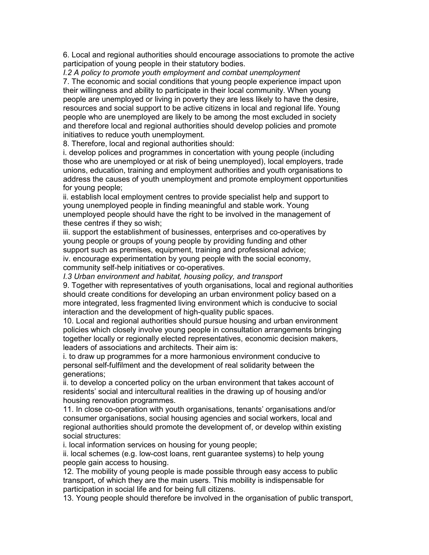6. Local and regional authorities should encourage associations to promote the active participation of young people in their statutory bodies.

I.2 A policy to promote youth employment and combat unemployment

7. The economic and social conditions that young people experience impact upon their willingness and ability to participate in their local community. When young people are unemployed or living in poverty they are less likely to have the desire, resources and social support to be active citizens in local and regional life. Young people who are unemployed are likely to be among the most excluded in society and therefore local and regional authorities should develop policies and promote initiatives to reduce youth unemployment.

8. Therefore, local and regional authorities should:

i. develop polices and programmes in concertation with young people (including those who are unemployed or at risk of being unemployed), local employers, trade unions, education, training and employment authorities and youth organisations to address the causes of youth unemployment and promote employment opportunities for young people;

ii. establish local employment centres to provide specialist help and support to young unemployed people in finding meaningful and stable work. Young unemployed people should have the right to be involved in the management of these centres if they so wish;

iii. support the establishment of businesses, enterprises and co-operatives by young people or groups of young people by providing funding and other support such as premises, equipment, training and professional advice;

iv. encourage experimentation by young people with the social economy, community self-help initiatives or co-operatives.

I.3 Urban environment and habitat, housing policy, and transport

9. Together with representatives of youth organisations, local and regional authorities should create conditions for developing an urban environment policy based on a more integrated, less fragmented living environment which is conducive to social interaction and the development of high-quality public spaces.

10. Local and regional authorities should pursue housing and urban environment policies which closely involve young people in consultation arrangements bringing together locally or regionally elected representatives, economic decision makers, leaders of associations and architects. Their aim is:

i. to draw up programmes for a more harmonious environment conducive to personal self-fulfilment and the development of real solidarity between the generations;

ii. to develop a concerted policy on the urban environment that takes account of residents' social and intercultural realities in the drawing up of housing and/or housing renovation programmes.

11. In close co-operation with youth organisations, tenants' organisations and/or consumer organisations, social housing agencies and social workers, local and regional authorities should promote the development of, or develop within existing social structures:

i. local information services on housing for young people;

ii. local schemes (e.g. low-cost loans, rent guarantee systems) to help young people gain access to housing.

12. The mobility of young people is made possible through easy access to public transport, of which they are the main users. This mobility is indispensable for participation in social life and for being full citizens.

13. Young people should therefore be involved in the organisation of public transport,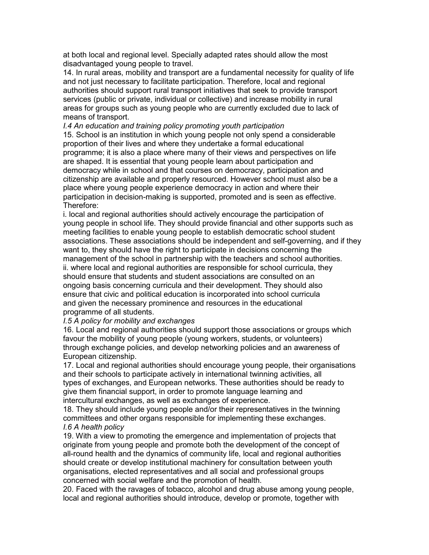at both local and regional level. Specially adapted rates should allow the most disadvantaged young people to travel.

14. In rural areas, mobility and transport are a fundamental necessity for quality of life and not just necessary to facilitate participation. Therefore, local and regional authorities should support rural transport initiatives that seek to provide transport services (public or private, individual or collective) and increase mobility in rural areas for groups such as young people who are currently excluded due to lack of means of transport.

I.4 An education and training policy promoting youth participation 15. School is an institution in which young people not only spend a considerable proportion of their lives and where they undertake a formal educational programme; it is also a place where many of their views and perspectives on life are shaped. It is essential that young people learn about participation and democracy while in school and that courses on democracy, participation and citizenship are available and properly resourced. However school must also be a place where young people experience democracy in action and where their participation in decision-making is supported, promoted and is seen as effective. Therefore:

i. local and regional authorities should actively encourage the participation of young people in school life. They should provide financial and other supports such as meeting facilities to enable young people to establish democratic school student associations. These associations should be independent and self-governing, and if they want to, they should have the right to participate in decisions concerning the management of the school in partnership with the teachers and school authorities. ii. where local and regional authorities are responsible for school curricula, they should ensure that students and student associations are consulted on an ongoing basis concerning curricula and their development. They should also ensure that civic and political education is incorporated into school curricula and given the necessary prominence and resources in the educational programme of all students.

#### I.5 A policy for mobility and exchanges

16. Local and regional authorities should support those associations or groups which favour the mobility of young people (young workers, students, or volunteers) through exchange policies, and develop networking policies and an awareness of European citizenship.

17. Local and regional authorities should encourage young people, their organisations and their schools to participate actively in international twinning activities, all types of exchanges, and European networks. These authorities should be ready to give them financial support, in order to promote language learning and intercultural exchanges, as well as exchanges of experience.

18. They should include young people and/or their representatives in the twinning committees and other organs responsible for implementing these exchanges. I.6 A health policy

19. With a view to promoting the emergence and implementation of projects that originate from young people and promote both the development of the concept of all-round health and the dynamics of community life, local and regional authorities should create or develop institutional machinery for consultation between youth organisations, elected representatives and all social and professional groups concerned with social welfare and the promotion of health.

20. Faced with the ravages of tobacco, alcohol and drug abuse among young people, local and regional authorities should introduce, develop or promote, together with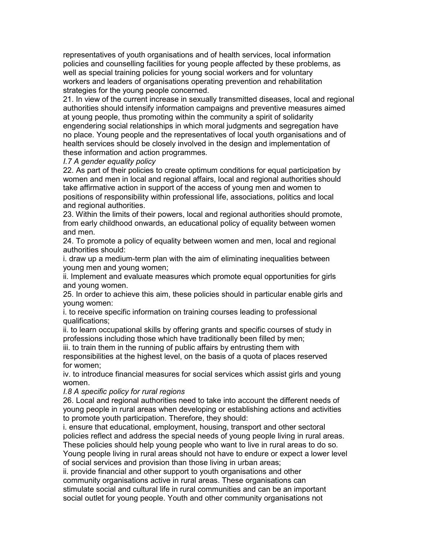representatives of youth organisations and of health services, local information policies and counselling facilities for young people affected by these problems, as well as special training policies for young social workers and for voluntary workers and leaders of organisations operating prevention and rehabilitation strategies for the young people concerned.

21. In view of the current increase in sexually transmitted diseases, local and regional authorities should intensify information campaigns and preventive measures aimed at young people, thus promoting within the community a spirit of solidarity engendering social relationships in which moral judgments and segregation have no place. Young people and the representatives of local youth organisations and of health services should be closely involved in the design and implementation of these information and action programmes.

## I.7 A gender equality policy

22. As part of their policies to create optimum conditions for equal participation by women and men in local and regional affairs, local and regional authorities should take affirmative action in support of the access of young men and women to positions of responsibility within professional life, associations, politics and local and regional authorities.

23. Within the limits of their powers, local and regional authorities should promote, from early childhood onwards, an educational policy of equality between women and men.

24. To promote a policy of equality between women and men, local and regional authorities should:

i. draw up a medium-term plan with the aim of eliminating inequalities between young men and young women;

ii. Implement and evaluate measures which promote equal opportunities for girls and young women.

25. In order to achieve this aim, these policies should in particular enable girls and young women:

i. to receive specific information on training courses leading to professional qualifications;

ii. to learn occupational skills by offering grants and specific courses of study in professions including those which have traditionally been filled by men;

iii. to train them in the running of public affairs by entrusting them with

responsibilities at the highest level, on the basis of a quota of places reserved for women;

iv. to introduce financial measures for social services which assist girls and young women.

I.8 A specific policy for rural regions

26. Local and regional authorities need to take into account the different needs of young people in rural areas when developing or establishing actions and activities to promote youth participation. Therefore, they should:

i. ensure that educational, employment, housing, transport and other sectoral policies reflect and address the special needs of young people living in rural areas. These policies should help young people who want to live in rural areas to do so. Young people living in rural areas should not have to endure or expect a lower level

of social services and provision than those living in urban areas;

ii. provide financial and other support to youth organisations and other community organisations active in rural areas. These organisations can stimulate social and cultural life in rural communities and can be an important social outlet for young people. Youth and other community organisations not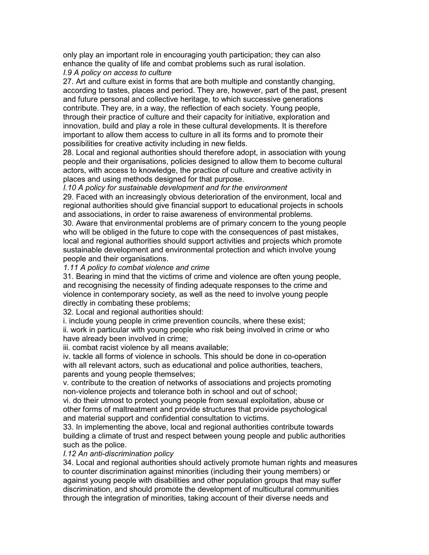only play an important role in encouraging youth participation; they can also enhance the quality of life and combat problems such as rural isolation.

# I.9 A policy on access to culture

27. Art and culture exist in forms that are both multiple and constantly changing, according to tastes, places and period. They are, however, part of the past, present and future personal and collective heritage, to which successive generations contribute. They are, in a way, the reflection of each society. Young people, through their practice of culture and their capacity for initiative, exploration and innovation, build and play a role in these cultural developments. It is therefore important to allow them access to culture in all its forms and to promote their possibilities for creative activity including in new fields.

28. Local and regional authorities should therefore adopt, in association with young people and their organisations, policies designed to allow them to become cultural actors, with access to knowledge, the practice of culture and creative activity in places and using methods designed for that purpose.

### I.10 A policy for sustainable development and for the environment

29. Faced with an increasingly obvious deterioration of the environment, local and regional authorities should give financial support to educational projects in schools and associations, in order to raise awareness of environmental problems.

30. Aware that environmental problems are of primary concern to the young people who will be obliged in the future to cope with the consequences of past mistakes, local and regional authorities should support activities and projects which promote sustainable development and environmental protection and which involve young people and their organisations.

# 1.11 A policy to combat violence and crime

31. Bearing in mind that the victims of crime and violence are often young people, and recognising the necessity of finding adequate responses to the crime and violence in contemporary society, as well as the need to involve young people directly in combating these problems;

32. Local and regional authorities should:

i. include young people in crime prevention councils, where these exist;

ii. work in particular with young people who risk being involved in crime or who have already been involved in crime;

iii. combat racist violence by all means available;

iv. tackle all forms of violence in schools. This should be done in co-operation with all relevant actors, such as educational and police authorities, teachers, parents and young people themselves;

v. contribute to the creation of networks of associations and projects promoting non-violence projects and tolerance both in school and out of school;

vi. do their utmost to protect young people from sexual exploitation, abuse or other forms of maltreatment and provide structures that provide psychological and material support and confidential consultation to victims.

33. In implementing the above, local and regional authorities contribute towards building a climate of trust and respect between young people and public authorities such as the police.

# I.12 An anti-discrimination policy

34. Local and regional authorities should actively promote human rights and measures to counter discrimination against minorities (including their young members) or against young people with disabilities and other population groups that may suffer discrimination, and should promote the development of multicultural communities through the integration of minorities, taking account of their diverse needs and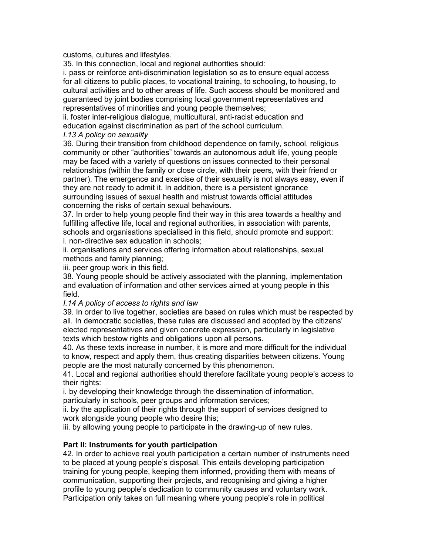customs, cultures and lifestyles.

35. In this connection, local and regional authorities should:

i. pass or reinforce anti-discrimination legislation so as to ensure equal access for all citizens to public places, to vocational training, to schooling, to housing, to cultural activities and to other areas of life. Such access should be monitored and guaranteed by joint bodies comprising local government representatives and representatives of minorities and young people themselves;

ii. foster inter-religious dialogue, multicultural, anti-racist education and education against discrimination as part of the school curriculum.

# I.13 A policy on sexuality

36. During their transition from childhood dependence on family, school, religious community or other "authorities" towards an autonomous adult life, young people may be faced with a variety of questions on issues connected to their personal relationships (within the family or close circle, with their peers, with their friend or partner). The emergence and exercise of their sexuality is not always easy, even if they are not ready to admit it. In addition, there is a persistent ignorance surrounding issues of sexual health and mistrust towards official attitudes concerning the risks of certain sexual behaviours.

37. In order to help young people find their way in this area towards a healthy and fulfilling affective life, local and regional authorities, in association with parents, schools and organisations specialised in this field, should promote and support: i. non-directive sex education in schools;

ii. organisations and services offering information about relationships, sexual methods and family planning;

iii. peer group work in this field.

38. Young people should be actively associated with the planning, implementation and evaluation of information and other services aimed at young people in this field.

### I.14 A policy of access to rights and law

39. In order to live together, societies are based on rules which must be respected by all. In democratic societies, these rules are discussed and adopted by the citizens' elected representatives and given concrete expression, particularly in legislative texts which bestow rights and obligations upon all persons.

40. As these texts increase in number, it is more and more difficult for the individual to know, respect and apply them, thus creating disparities between citizens. Young people are the most naturally concerned by this phenomenon.

41. Local and regional authorities should therefore facilitate young people's access to their rights:

i. by developing their knowledge through the dissemination of information, particularly in schools, peer groups and information services;

ii. by the application of their rights through the support of services designed to work alongside young people who desire this;

iii. by allowing young people to participate in the drawing-up of new rules.

# Part II: Instruments for youth participation

42. In order to achieve real youth participation a certain number of instruments need to be placed at young people's disposal. This entails developing participation training for young people, keeping them informed, providing them with means of communication, supporting their projects, and recognising and giving a higher profile to young people's dedication to community causes and voluntary work. Participation only takes on full meaning where young people's role in political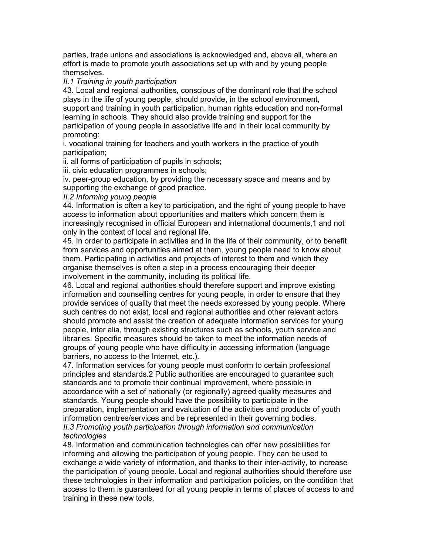parties, trade unions and associations is acknowledged and, above all, where an effort is made to promote youth associations set up with and by young people themselves.

### II.1 Training in youth participation

43. Local and regional authorities, conscious of the dominant role that the school plays in the life of young people, should provide, in the school environment, support and training in youth participation, human rights education and non-formal learning in schools. They should also provide training and support for the participation of young people in associative life and in their local community by promoting:

i. vocational training for teachers and youth workers in the practice of youth participation;

ii. all forms of participation of pupils in schools;

iii. civic education programmes in schools;

iv. peer-group education, by providing the necessary space and means and by supporting the exchange of good practice.

### II.2 Informing young people

44. Information is often a key to participation, and the right of young people to have access to information about opportunities and matters which concern them is increasingly recognised in official European and international documents,1 and not only in the context of local and regional life.

45. In order to participate in activities and in the life of their community, or to benefit from services and opportunities aimed at them, young people need to know about them. Participating in activities and projects of interest to them and which they organise themselves is often a step in a process encouraging their deeper involvement in the community, including its political life.

46. Local and regional authorities should therefore support and improve existing information and counselling centres for young people, in order to ensure that they provide services of quality that meet the needs expressed by young people. Where such centres do not exist, local and regional authorities and other relevant actors should promote and assist the creation of adequate information services for young people, inter alia, through existing structures such as schools, youth service and libraries. Specific measures should be taken to meet the information needs of groups of young people who have difficulty in accessing information (language barriers, no access to the Internet, etc.).

47. Information services for young people must conform to certain professional principles and standards.2 Public authorities are encouraged to guarantee such standards and to promote their continual improvement, where possible in accordance with a set of nationally (or regionally) agreed quality measures and standards. Young people should have the possibility to participate in the preparation, implementation and evaluation of the activities and products of youth information centres/services and be represented in their governing bodies. II.3 Promoting youth participation through information and communication technologies

48. Information and communication technologies can offer new possibilities for informing and allowing the participation of young people. They can be used to exchange a wide variety of information, and thanks to their inter-activity, to increase the participation of young people. Local and regional authorities should therefore use these technologies in their information and participation policies, on the condition that access to them is guaranteed for all young people in terms of places of access to and training in these new tools.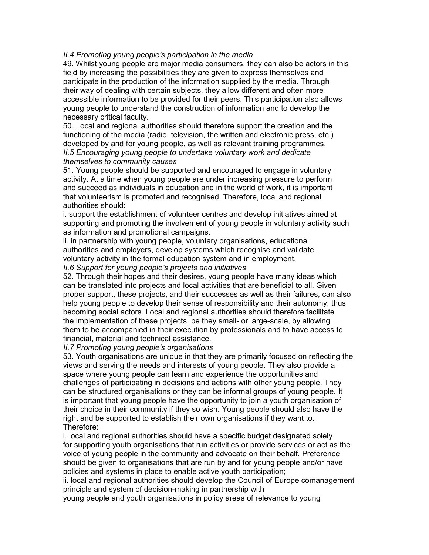#### II.4 Promoting young people's participation in the media

49. Whilst young people are major media consumers, they can also be actors in this field by increasing the possibilities they are given to express themselves and participate in the production of the information supplied by the media. Through their way of dealing with certain subjects, they allow different and often more accessible information to be provided for their peers. This participation also allows young people to understand the construction of information and to develop the necessary critical faculty.

50. Local and regional authorities should therefore support the creation and the functioning of the media (radio, television, the written and electronic press, etc.) developed by and for young people, as well as relevant training programmes. II.5 Encouraging young people to undertake voluntary work and dedicate themselves to community causes

51. Young people should be supported and encouraged to engage in voluntary activity. At a time when young people are under increasing pressure to perform and succeed as individuals in education and in the world of work, it is important that volunteerism is promoted and recognised. Therefore, local and regional authorities should:

i. support the establishment of volunteer centres and develop initiatives aimed at supporting and promoting the involvement of young people in voluntary activity such as information and promotional campaigns.

ii. in partnership with young people, voluntary organisations, educational authorities and employers, develop systems which recognise and validate voluntary activity in the formal education system and in employment.

II.6 Support for young people's projects and initiatives

52. Through their hopes and their desires, young people have many ideas which can be translated into projects and local activities that are beneficial to all. Given proper support, these projects, and their successes as well as their failures, can also help young people to develop their sense of responsibility and their autonomy, thus becoming social actors. Local and regional authorities should therefore facilitate the implementation of these projects, be they small- or large-scale, by allowing them to be accompanied in their execution by professionals and to have access to financial, material and technical assistance.

II.7 Promoting young people's organisations

53. Youth organisations are unique in that they are primarily focused on reflecting the views and serving the needs and interests of young people. They also provide a space where young people can learn and experience the opportunities and challenges of participating in decisions and actions with other young people. They can be structured organisations or they can be informal groups of young people. It is important that young people have the opportunity to join a youth organisation of their choice in their community if they so wish. Young people should also have the right and be supported to establish their own organisations if they want to. Therefore:

i. local and regional authorities should have a specific budget designated solely for supporting youth organisations that run activities or provide services or act as the voice of young people in the community and advocate on their behalf. Preference should be given to organisations that are run by and for young people and/or have policies and systems in place to enable active youth participation;

ii. local and regional authorities should develop the Council of Europe comanagement principle and system of decision-making in partnership with

young people and youth organisations in policy areas of relevance to young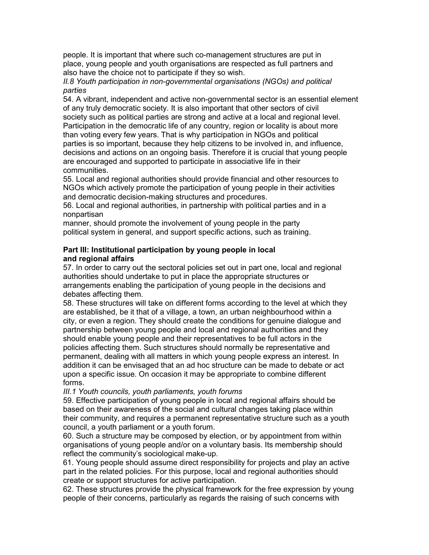people. It is important that where such co-management structures are put in place, young people and youth organisations are respected as full partners and also have the choice not to participate if they so wish.

II.8 Youth participation in non-governmental organisations (NGOs) and political parties

54. A vibrant, independent and active non-governmental sector is an essential element of any truly democratic society. It is also important that other sectors of civil society such as political parties are strong and active at a local and regional level. Participation in the democratic life of any country, region or locality is about more than voting every few years. That is why participation in NGOs and political parties is so important, because they help citizens to be involved in, and influence, decisions and actions on an ongoing basis. Therefore it is crucial that young people are encouraged and supported to participate in associative life in their communities.

55. Local and regional authorities should provide financial and other resources to NGOs which actively promote the participation of young people in their activities and democratic decision-making structures and procedures.

56. Local and regional authorities, in partnership with political parties and in a nonpartisan

manner, should promote the involvement of young people in the party political system in general, and support specific actions, such as training.

# Part III: Institutional participation by young people in local and regional affairs

57. In order to carry out the sectoral policies set out in part one, local and regional authorities should undertake to put in place the appropriate structures or arrangements enabling the participation of young people in the decisions and debates affecting them.

58. These structures will take on different forms according to the level at which they are established, be it that of a village, a town, an urban neighbourhood within a city, or even a region. They should create the conditions for genuine dialogue and partnership between young people and local and regional authorities and they should enable young people and their representatives to be full actors in the policies affecting them. Such structures should normally be representative and permanent, dealing with all matters in which young people express an interest. In addition it can be envisaged that an ad hoc structure can be made to debate or act upon a specific issue. On occasion it may be appropriate to combine different forms.

III.1 Youth councils, youth parliaments, youth forums

59. Effective participation of young people in local and regional affairs should be based on their awareness of the social and cultural changes taking place within their community, and requires a permanent representative structure such as a youth council, a youth parliament or a youth forum.

60. Such a structure may be composed by election, or by appointment from within organisations of young people and/or on a voluntary basis. Its membership should reflect the community's sociological make-up.

61. Young people should assume direct responsibility for projects and play an active part in the related policies. For this purpose, local and regional authorities should create or support structures for active participation.

62. These structures provide the physical framework for the free expression by young people of their concerns, particularly as regards the raising of such concerns with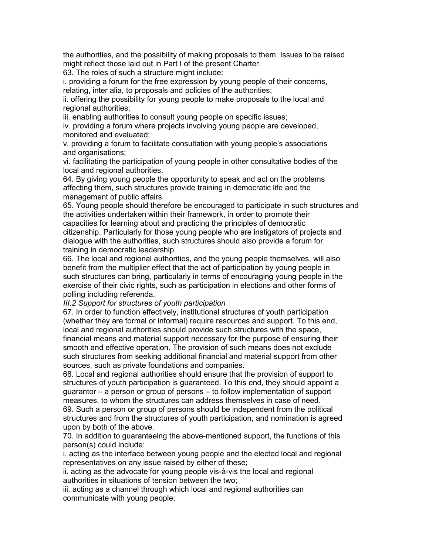the authorities, and the possibility of making proposals to them. Issues to be raised might reflect those laid out in Part I of the present Charter.

63. The roles of such a structure might include:

i. providing a forum for the free expression by young people of their concerns, relating, inter alia, to proposals and policies of the authorities;

ii. offering the possibility for young people to make proposals to the local and regional authorities;

iii. enabling authorities to consult young people on specific issues;

iv. providing a forum where projects involving young people are developed, monitored and evaluated;

v. providing a forum to facilitate consultation with young people's associations and organisations;

vi. facilitating the participation of young people in other consultative bodies of the local and regional authorities.

64. By giving young people the opportunity to speak and act on the problems affecting them, such structures provide training in democratic life and the management of public affairs.

65. Young people should therefore be encouraged to participate in such structures and the activities undertaken within their framework, in order to promote their capacities for learning about and practicing the principles of democratic citizenship. Particularly for those young people who are instigators of projects and dialogue with the authorities, such structures should also provide a forum for training in democratic leadership.

66. The local and regional authorities, and the young people themselves, will also benefit from the multiplier effect that the act of participation by young people in such structures can bring, particularly in terms of encouraging young people in the exercise of their civic rights, such as participation in elections and other forms of polling including referenda.

III.2 Support for structures of youth participation

67. In order to function effectively, institutional structures of youth participation (whether they are formal or informal) require resources and support. To this end, local and regional authorities should provide such structures with the space, financial means and material support necessary for the purpose of ensuring their smooth and effective operation. The provision of such means does not exclude such structures from seeking additional financial and material support from other sources, such as private foundations and companies.

68. Local and regional authorities should ensure that the provision of support to structures of youth participation is guaranteed. To this end, they should appoint a guarantor – a person or group of persons – to follow implementation of support measures, to whom the structures can address themselves in case of need.

69. Such a person or group of persons should be independent from the political structures and from the structures of youth participation, and nomination is agreed upon by both of the above.

70. In addition to guaranteeing the above-mentioned support, the functions of this person(s) could include:

i. acting as the interface between young people and the elected local and regional representatives on any issue raised by either of these;

ii. acting as the advocate for young people vis-à-vis the local and regional authorities in situations of tension between the two;

iii. acting as a channel through which local and regional authorities can communicate with young people;